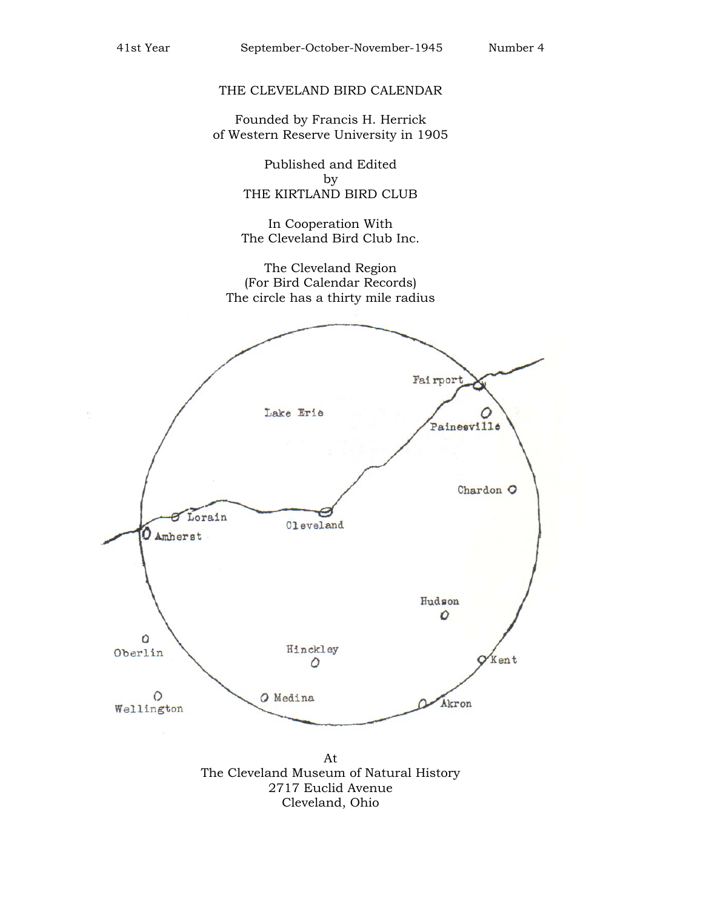### THE CLEVELAND BIRD CALENDAR

Founded by Francis H. Herrick of Western Reserve University in 1905

> Published and Edited by THE KIRTLAND BIRD CLUB

In Cooperation With The Cleveland Bird Club Inc.

The Cleveland Region (For Bird Calendar Records) The circle has a thirty mile radius



Cleveland, Ohio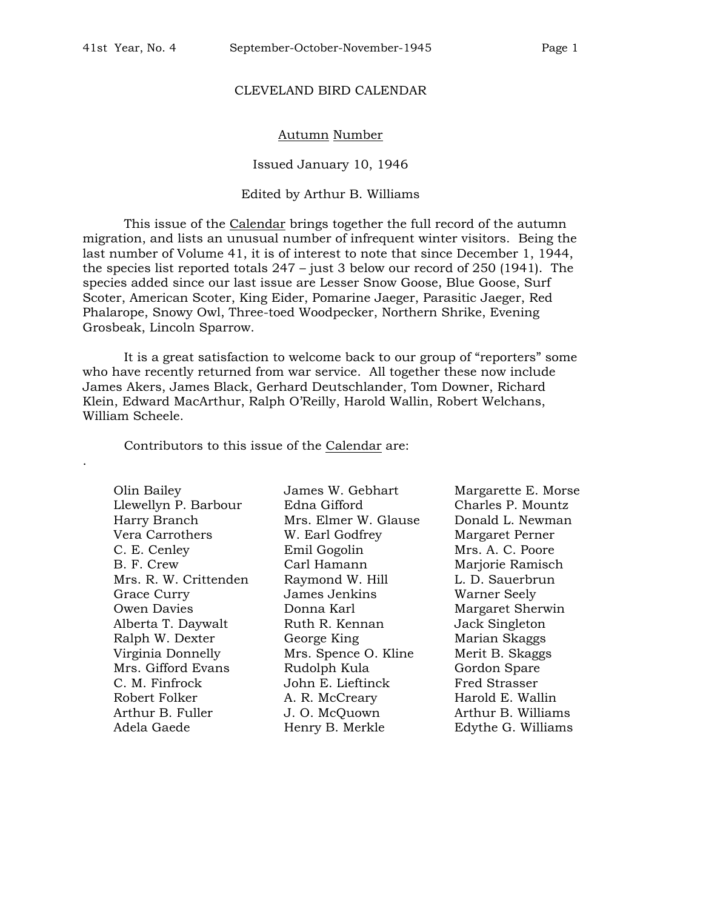#### CLEVELAND BIRD CALENDAR

#### Autumn Number

Issued January 10, 1946

#### Edited by Arthur B. Williams

This issue of the Calendar brings together the full record of the autumn migration, and lists an unusual number of infrequent winter visitors. Being the last number of Volume 41, it is of interest to note that since December 1, 1944, the species list reported totals 247 – just 3 below our record of 250 (1941). The species added since our last issue are Lesser Snow Goose, Blue Goose, Surf Scoter, American Scoter, King Eider, Pomarine Jaeger, Parasitic Jaeger, Red Phalarope, Snowy Owl, Three-toed Woodpecker, Northern Shrike, Evening Grosbeak, Lincoln Sparrow.

It is a great satisfaction to welcome back to our group of "reporters" some who have recently returned from war service. All together these now include James Akers, James Black, Gerhard Deutschlander, Tom Downer, Richard Klein, Edward MacArthur, Ralph O'Reilly, Harold Wallin, Robert Welchans, William Scheele.

Contributors to this issue of the Calendar are:

Llewellyn P. Barbour Edna Gifford Charles P. Mountz Harry Branch Mrs. Elmer W. Glause Donald L. Newman Vera Carrothers W. Earl Godfrey Margaret Perner C. E. Cenley Emil Gogolin Mrs. A. C. Poore B. F. Crew Carl Hamann Marjorie Ramisch Mrs. R. W. Crittenden Raymond W. Hill L. D. Sauerbrun Grace Curry **Cames James Jenkins** Warner Seely Owen Davies **Donna Karl** Margaret Sherwin Alberta T. Daywalt Ruth R. Kennan Jack Singleton Ralph W. Dexter **George King Marian Skaggs** Virginia Donnelly Mrs. Spence O. Kline Merit B. Skaggs Mrs. Gifford Evans Rudolph Kula Gordon Spare C. M. Finfrock John E. Lieftinck Fred Strasser Robert Folker **A. R. McCreary** Harold E. Wallin Arthur B. Fuller J. O. McQuown Arthur B. Williams Adela Gaede **Henry B. Merkle** Edythe G. Williams

.

Olin Bailey James W. Gebhart Margarette E. Morse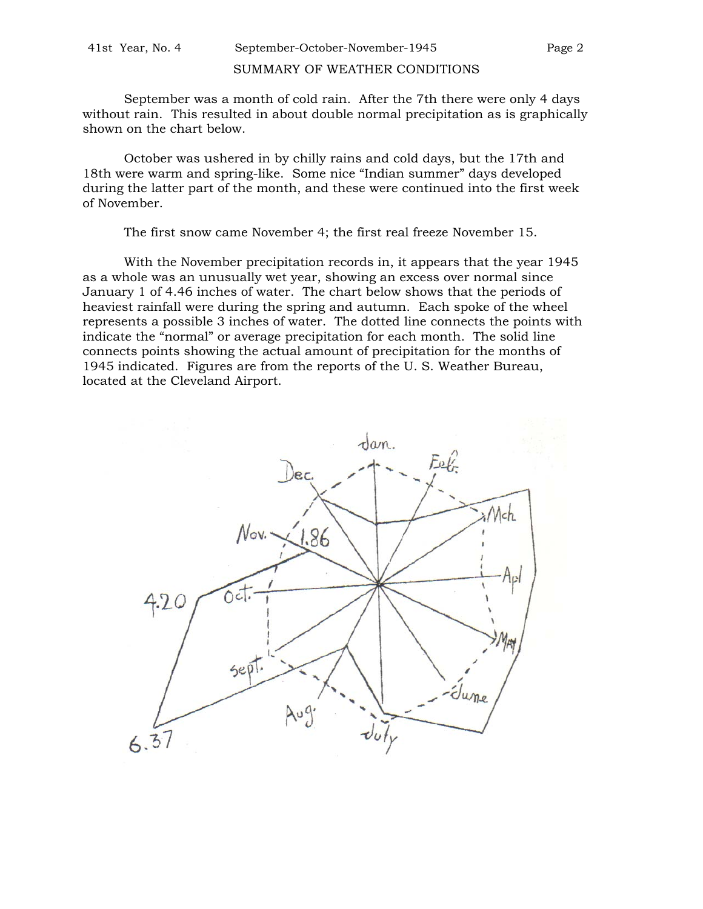### SUMMARY OF WEATHER CONDITIONS

September was a month of cold rain. After the 7th there were only 4 days without rain. This resulted in about double normal precipitation as is graphically shown on the chart below.

October was ushered in by chilly rains and cold days, but the 17th and 18th were warm and spring-like. Some nice "Indian summer" days developed during the latter part of the month, and these were continued into the first week of November.

The first snow came November 4; the first real freeze November 15.

With the November precipitation records in, it appears that the year 1945 as a whole was an unusually wet year, showing an excess over normal since January 1 of 4.46 inches of water. The chart below shows that the periods of heaviest rainfall were during the spring and autumn. Each spoke of the wheel represents a possible 3 inches of water. The dotted line connects the points with indicate the "normal" or average precipitation for each month. The solid line connects points showing the actual amount of precipitation for the months of 1945 indicated. Figures are from the reports of the U. S. Weather Bureau, located at the Cleveland Airport.

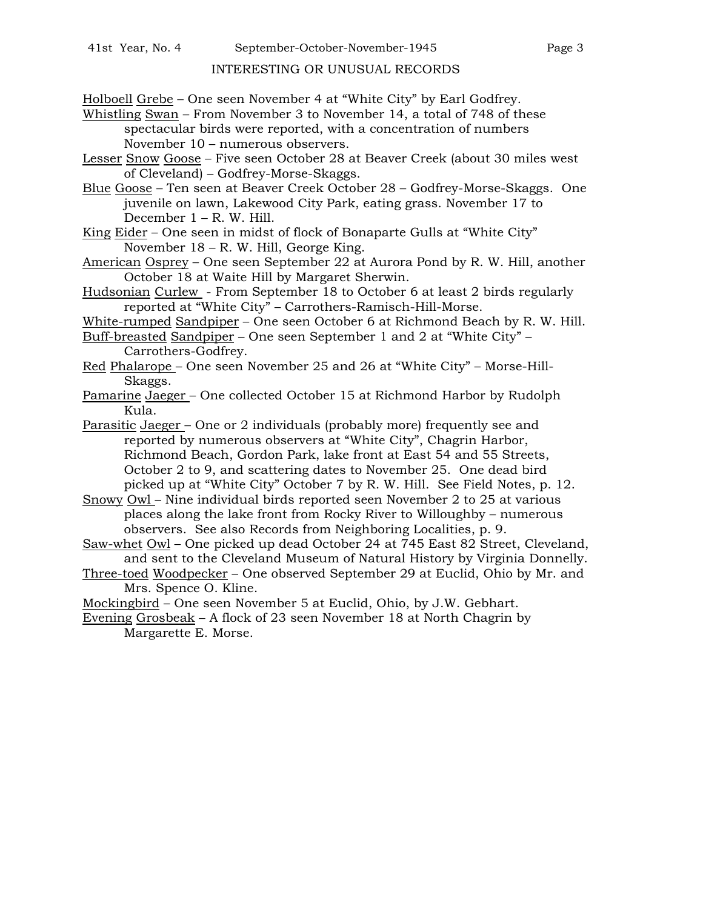## INTERESTING OR UNUSUAL RECORDS

Holboell Grebe – One seen November 4 at "White City" by Earl Godfrey.

- Whistling Swan From November 3 to November 14, a total of 748 of these spectacular birds were reported, with a concentration of numbers November 10 – numerous observers.
- Lesser Snow Goose Five seen October 28 at Beaver Creek (about 30 miles west of Cleveland) – Godfrey-Morse-Skaggs.
- Blue Goose Ten seen at Beaver Creek October 28 Godfrey-Morse-Skaggs. One juvenile on lawn, Lakewood City Park, eating grass. November 17 to December 1 – R. W. Hill.
- King Eider One seen in midst of flock of Bonaparte Gulls at "White City" November 18 – R. W. Hill, George King.
- American Osprey One seen September 22 at Aurora Pond by R. W. Hill, another October 18 at Waite Hill by Margaret Sherwin.
- Hudsonian Curlew From September 18 to October 6 at least 2 birds regularly reported at "White City" – Carrothers-Ramisch-Hill-Morse.
- White-rumped Sandpiper One seen October 6 at Richmond Beach by R. W. Hill.
- Buff-breasted Sandpiper One seen September 1 and 2 at "White City" Carrothers-Godfrey.
- Red Phalarope One seen November 25 and 26 at "White City" Morse-Hill-Skaggs.
- Pamarine Jaeger One collected October 15 at Richmond Harbor by Rudolph Kula.
- Parasitic Jaeger One or 2 individuals (probably more) frequently see and reported by numerous observers at "White City", Chagrin Harbor, Richmond Beach, Gordon Park, lake front at East 54 and 55 Streets, October 2 to 9, and scattering dates to November 25. One dead bird picked up at "White City" October 7 by R. W. Hill. See Field Notes, p. 12.
- Snowy Owl Nine individual birds reported seen November 2 to 25 at various places along the lake front from Rocky River to Willoughby – numerous observers. See also Records from Neighboring Localities, p. 9.
- Saw-whet Owl One picked up dead October 24 at 745 East 82 Street, Cleveland, and sent to the Cleveland Museum of Natural History by Virginia Donnelly.
- Three-toed Woodpecker One observed September 29 at Euclid, Ohio by Mr. and Mrs. Spence O. Kline.
- Mockingbird One seen November 5 at Euclid, Ohio, by J.W. Gebhart.

Evening Grosbeak – A flock of 23 seen November 18 at North Chagrin by Margarette E. Morse.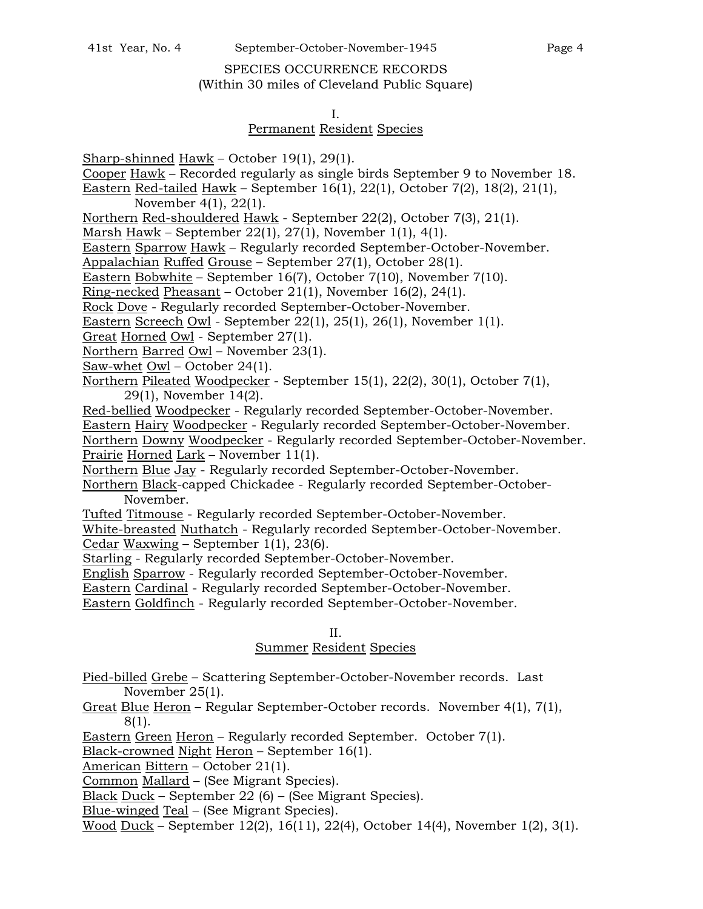# SPECIES OCCURRENCE RECORDS (Within 30 miles of Cleveland Public Square)

#### I.

## Permanent Resident Species

- Sharp-shinned Hawk October 19(1), 29(1).
- Cooper Hawk Recorded regularly as single birds September 9 to November 18.
- Eastern Red-tailed Hawk September 16(1), 22(1), October 7(2), 18(2), 21(1),

November 4(1), 22(1).

Northern Red-shouldered Hawk - September 22(2), October 7(3), 21(1).

Marsh Hawk – September 22(1), 27(1), November 1(1), 4(1).

Eastern Sparrow Hawk – Regularly recorded September-October-November.

Appalachian Ruffed Grouse – September 27(1), October 28(1).

Eastern Bobwhite – September 16(7), October 7(10), November 7(10).

Ring-necked Pheasant – October 21(1), November 16(2), 24(1).

Rock Dove - Regularly recorded September-October-November.

Eastern Screech Owl - September 22(1), 25(1), 26(1), November 1(1).

Great Horned Owl - September 27(1).

Northern Barred Owl - November 23(1).

Saw-whet Owl – October 24(1).

Northern Pileated Woodpecker - September 15(1), 22(2), 30(1), October 7(1), 29(1), November 14(2).

Red-bellied Woodpecker - Regularly recorded September-October-November.

Eastern Hairy Woodpecker - Regularly recorded September-October-November.

Northern Downy Woodpecker - Regularly recorded September-October-November. Prairie Horned Lark – November 11(1).

Northern Blue Jay - Regularly recorded September-October-November.

Northern Black-capped Chickadee - Regularly recorded September-October-November.

Tufted Titmouse - Regularly recorded September-October-November.

White-breasted Nuthatch - Regularly recorded September-October-November.

Cedar Waxwing – September 1(1), 23(6).

Starling - Regularly recorded September-October-November.

English Sparrow - Regularly recorded September-October-November.

Eastern Cardinal - Regularly recorded September-October-November.

Eastern Goldfinch - Regularly recorded September-October-November.

## II.

# Summer Resident Species

Pied-billed Grebe – Scattering September-October-November records. Last November 25(1).

Great Blue Heron – Regular September-October records. November 4(1), 7(1), 8(1).

Eastern Green Heron – Regularly recorded September. October 7(1).

Black-crowned Night Heron – September 16(1).

American Bittern – October 21(1).

Common Mallard – (See Migrant Species).

Black Duck – September 22 (6) – (See Migrant Species).

Blue-winged Teal – (See Migrant Species).

Wood Duck – September 12(2), 16(11), 22(4), October 14(4), November 1(2), 3(1).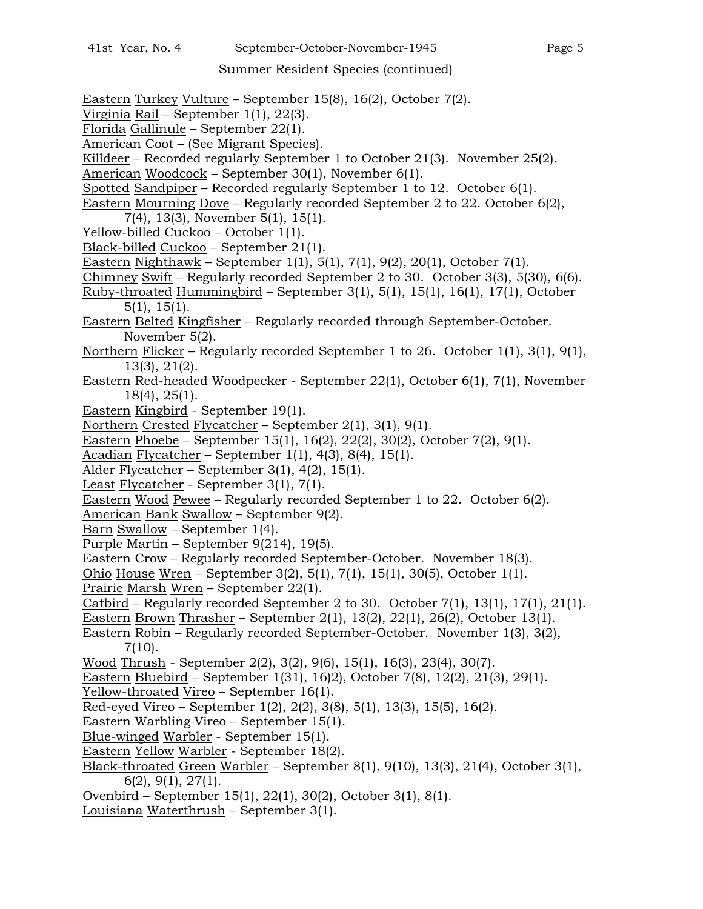## Summer Resident Species (continued)

Eastern Turkey Vulture – September 15(8), 16(2), October 7(2). Virginia Rail – September 1(1), 22(3). Florida Gallinule – September 22(1). American Coot – (See Migrant Species). Killdeer – Recorded regularly September 1 to October 21(3). November 25(2). American Woodcock – September 30(1), November 6(1). Spotted Sandpiper – Recorded regularly September 1 to 12. October 6(1). Eastern Mourning Dove – Regularly recorded September 2 to 22. October 6(2), 7(4), 13(3), November 5(1), 15(1). Yellow-billed Cuckoo – October 1(1). Black-billed Cuckoo – September 21(1). Eastern Nighthawk – September 1(1), 5(1), 7(1), 9(2), 20(1), October 7(1). Chimney Swift – Regularly recorded September 2 to 30. October 3(3), 5(30), 6(6). Ruby-throated Hummingbird – September 3(1), 5(1), 15(1), 16(1), 17(1), October 5(1), 15(1). Eastern Belted Kingfisher – Regularly recorded through September-October. November 5(2). Northern Flicker – Regularly recorded September 1 to 26. October 1(1), 3(1), 9(1), 13(3), 21(2). Eastern Red-headed Woodpecker - September 22(1), October 6(1), 7(1), November 18(4), 25(1). Eastern Kingbird - September 19(1). Northern Crested Flycatcher – September 2(1), 3(1), 9(1). Eastern Phoebe – September 15(1), 16(2), 22(2), 30(2), October 7(2), 9(1). Acadian Flycatcher – September 1(1), 4(3), 8(4), 15(1). Alder Flycatcher – September 3(1), 4(2), 15(1). Least Flycatcher - September 3(1), 7(1). Eastern Wood Pewee – Regularly recorded September 1 to 22. October 6(2). American Bank Swallow – September 9(2). Barn Swallow – September 1(4). Purple Martin – September 9(214), 19(5). Eastern Crow – Regularly recorded September-October. November 18(3). Ohio House Wren – September 3(2), 5(1), 7(1), 15(1), 30(5), October 1(1). Prairie Marsh Wren – September 22(1). Catbird – Regularly recorded September 2 to 30. October 7(1), 13(1), 17(1), 21(1). Eastern Brown Thrasher – September 2(1), 13(2), 22(1), 26(2), October 13(1). Eastern Robin – Regularly recorded September-October. November 1(3), 3(2), 7(10). Wood Thrush - September 2(2), 3(2), 9(6), 15(1), 16(3), 23(4), 30(7). Eastern Bluebird – September 1(31), 16)2), October 7(8), 12(2), 21(3), 29(1). Yellow-throated Vireo – September 16(1). Red-eyed Vireo – September 1(2), 2(2), 3(8), 5(1), 13(3), 15(5), 16(2). Eastern Warbling Vireo – September 15(1). Blue-winged Warbler - September 15(1). Eastern Yellow Warbler - September 18(2). Black-throated Green Warbler – September 8(1), 9(10), 13(3), 21(4), October 3(1), 6(2), 9(1), 27(1). Ovenbird – September 15(1), 22(1), 30(2), October 3(1), 8(1). Louisiana Waterthrush – September 3(1).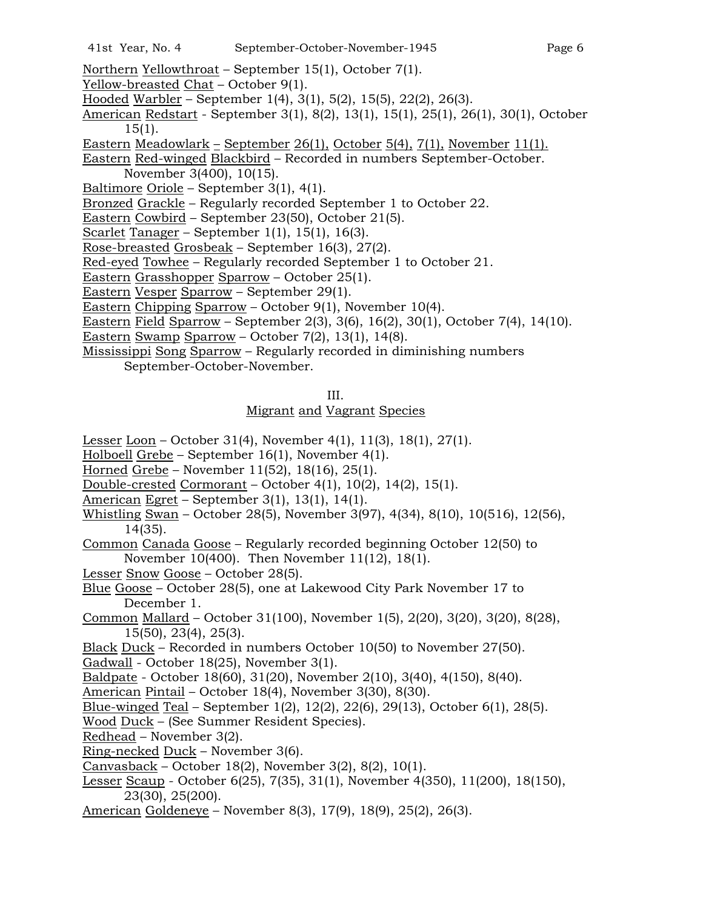- Northern Yellowthroat September 15(1), October 7(1).
- Yellow-breasted Chat October 9(1).
- Hooded Warbler September 1(4), 3(1), 5(2), 15(5), 22(2), 26(3).
- American Redstart September 3(1), 8(2), 13(1), 15(1), 25(1), 26(1), 30(1), October  $15(1)$ .
- Eastern Meadowlark September 26(1), October 5(4), 7(1), November 11(1).

Eastern Red-winged Blackbird – Recorded in numbers September-October. November 3(400), 10(15).

Baltimore Oriole – September 3(1), 4(1).

Bronzed Grackle – Regularly recorded September 1 to October 22.

- Eastern Cowbird September 23(50), October 21(5).
- Scarlet Tanager September 1(1), 15(1), 16(3).
- Rose-breasted Grosbeak September 16(3), 27(2).
- Red-eyed Towhee Regularly recorded September 1 to October 21.
- Eastern Grasshopper Sparrow October 25(1).
- Eastern Vesper Sparrow September 29(1).
- Eastern Chipping Sparrow October 9(1), November 10(4).
- Eastern Field Sparrow September 2(3), 3(6), 16(2), 30(1), October 7(4), 14(10).
- Eastern Swamp Sparrow October 7(2), 13(1), 14(8).
- Mississippi Song Sparrow Regularly recorded in diminishing numbers September-October-November.

## Migrant and Vagrant Species

- Lesser Loon October 31(4), November 4(1), 11(3), 18(1), 27(1).
- Holboell Grebe September 16(1), November 4(1).
- Horned Grebe November 11(52), 18(16), 25(1).
- Double-crested Cormorant October 4(1), 10(2), 14(2), 15(1).
- American Egret September 3(1), 13(1), 14(1).
- Whistling Swan October 28(5), November 3(97), 4(34), 8(10), 10(516), 12(56), 14(35).
- Common Canada Goose Regularly recorded beginning October 12(50) to November 10(400). Then November 11(12), 18(1).
- Lesser Snow Goose October 28(5).
- Blue Goose October 28(5), one at Lakewood City Park November 17 to December 1.
- Common Mallard October 31(100), November 1(5), 2(20), 3(20), 3(20), 8(28), 15(50), 23(4), 25(3).
- Black Duck Recorded in numbers October 10(50) to November 27(50).
- Gadwall October 18(25), November 3(1).
- Baldpate October 18(60), 31(20), November 2(10), 3(40), 4(150), 8(40).
- American Pintail October 18(4), November 3(30), 8(30).
- Blue-winged Teal September 1(2), 12(2), 22(6), 29(13), October 6(1), 28(5).
- Wood Duck (See Summer Resident Species).
- Redhead November 3(2).
- Ring-necked Duck November 3(6).
- Canvasback October 18(2), November 3(2), 8(2), 10(1).
- Lesser Scaup October 6(25), 7(35), 31(1), November 4(350), 11(200), 18(150), 23(30), 25(200).
- American Goldeneye November 8(3), 17(9), 18(9), 25(2), 26(3).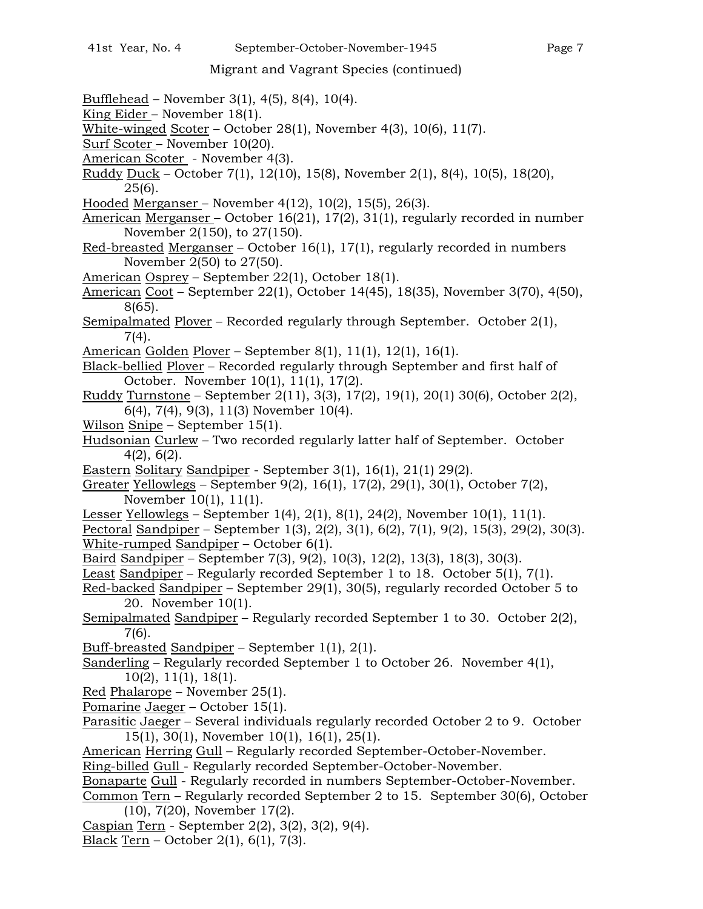# Migrant and Vagrant Species (continued)

- Bufflehead November 3(1), 4(5), 8(4), 10(4).
- King Eider November 18(1).
- White-winged Scoter October 28(1), November 4(3), 10(6), 11(7).
- Surf Scoter November 10(20).
- American Scoter November 4(3).
- Ruddy Duck October 7(1), 12(10), 15(8), November 2(1), 8(4), 10(5), 18(20), 25(6).
- Hooded Merganser November 4(12), 10(2), 15(5), 26(3).
- American Merganser October 16(21), 17(2), 31(1), regularly recorded in number November 2(150), to 27(150).
- Red-breasted Merganser October 16(1), 17(1), regularly recorded in numbers November 2(50) to 27(50).
- American Osprey September 22(1), October 18(1).
- American Coot September 22(1), October 14(45), 18(35), November 3(70), 4(50), 8(65).
- Semipalmated Plover Recorded regularly through September. October 2(1), 7(4).
- American Golden Plover September 8(1), 11(1), 12(1), 16(1).
- Black-bellied Plover Recorded regularly through September and first half of October. November 10(1), 11(1), 17(2).
- Ruddy Turnstone September 2(11), 3(3), 17(2), 19(1), 20(1) 30(6), October 2(2), 6(4), 7(4), 9(3), 11(3) November 10(4).
- Wilson Snipe September 15(1).
- Hudsonian Curlew Two recorded regularly latter half of September. October 4(2), 6(2).
- Eastern Solitary Sandpiper September 3(1), 16(1), 21(1) 29(2).
- Greater Yellowlegs September 9(2), 16(1), 17(2), 29(1), 30(1), October 7(2), November 10(1), 11(1).
- Lesser Yellowlegs September 1(4), 2(1), 8(1), 24(2), November 10(1), 11(1).
- Pectoral Sandpiper September 1(3), 2(2), 3(1), 6(2), 7(1), 9(2), 15(3), 29(2), 30(3). White-rumped Sandpiper – October 6(1).
- Baird Sandpiper September 7(3), 9(2), 10(3), 12(2), 13(3), 18(3), 30(3).
- Least Sandpiper Regularly recorded September 1 to 18. October 5(1), 7(1).
- Red-backed Sandpiper September 29(1), 30(5), regularly recorded October 5 to 20. November 10(1).
- Semipalmated Sandpiper Regularly recorded September 1 to 30. October 2(2), 7(6).
- Buff-breasted Sandpiper September 1(1), 2(1).
- Sanderling Regularly recorded September 1 to October 26. November 4(1), 10(2), 11(1), 18(1).
- Red Phalarope November 25(1).
- Pomarine Jaeger October 15(1).
- Parasitic Jaeger Several individuals regularly recorded October 2 to 9. October 15(1), 30(1), November 10(1), 16(1), 25(1).
- American Herring Gull Regularly recorded September-October-November.
- Ring-billed Gull Regularly recorded September-October-November.
- Bonaparte Gull Regularly recorded in numbers September-October-November.

Common Tern – Regularly recorded September 2 to 15. September 30(6), October (10), 7(20), November 17(2).

- Caspian Tern September 2(2), 3(2), 3(2), 9(4).
- Black Tern October 2(1), 6(1), 7(3).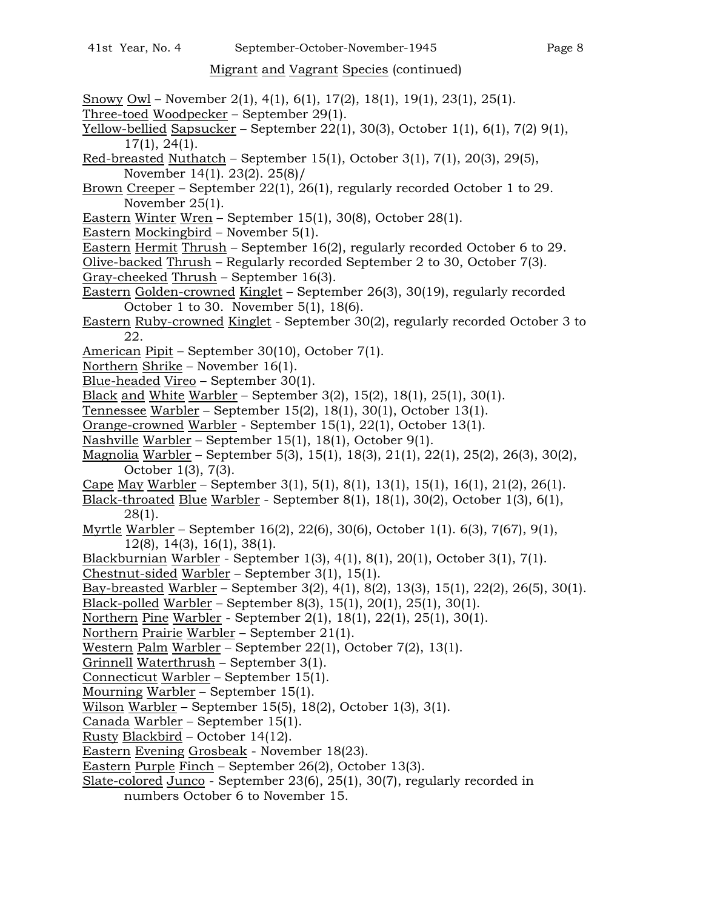# Migrant and Vagrant Species (continued)

- Snowy Owl November 2(1), 4(1), 6(1), 17(2), 18(1), 19(1), 23(1), 25(1).
- Three-toed Woodpecker September 29(1).
- Yellow-bellied Sapsucker September  $22(1)$ ,  $30(3)$ , October  $1(1)$ ,  $6(1)$ ,  $7(2)$   $9(1)$ , 17(1), 24(1).
- Red-breasted Nuthatch September 15(1), October 3(1), 7(1), 20(3), 29(5), November 14(1). 23(2). 25(8)/
- Brown Creeper September 22(1), 26(1), regularly recorded October 1 to 29. November 25(1).
- Eastern Winter Wren September 15(1), 30(8), October 28(1).
- Eastern Mockingbird November 5(1).
- Eastern Hermit Thrush September 16(2), regularly recorded October 6 to 29.
- Olive-backed Thrush Regularly recorded September 2 to 30, October 7(3). Gray-cheeked Thrush – September 16(3).
- Eastern Golden-crowned Kinglet September 26(3), 30(19), regularly recorded October 1 to 30. November 5(1), 18(6).
- Eastern Ruby-crowned Kinglet September 30(2), regularly recorded October 3 to 22.
- American Pipit September 30(10), October 7(1).
- Northern Shrike November 16(1).
- Blue-headed Vireo September 30(1).
- Black and White Warbler September 3(2), 15(2), 18(1), 25(1), 30(1).
- Tennessee Warbler September 15(2), 18(1), 30(1), October 13(1).
- Orange-crowned Warbler September 15(1), 22(1), October 13(1).
- Nashville Warbler September 15(1), 18(1), October 9(1).
- Magnolia Warbler September 5(3), 15(1), 18(3), 21(1), 22(1), 25(2), 26(3), 30(2), October 1(3), 7(3).
- Cape May Warbler September 3(1), 5(1), 8(1), 13(1), 15(1), 16(1), 21(2), 26(1).
- Black-throated Blue Warbler September 8(1), 18(1), 30(2), October 1(3), 6(1), 28(1).
- Myrtle Warbler September 16(2), 22(6), 30(6), October 1(1). 6(3), 7(67), 9(1), 12(8), 14(3), 16(1), 38(1).
- Blackburnian Warbler September 1(3), 4(1), 8(1), 20(1), October 3(1), 7(1).
- Chestnut-sided Warbler September 3(1), 15(1).
- Bay-breasted Warbler September 3(2), 4(1), 8(2), 13(3), 15(1), 22(2), 26(5), 30(1).
- Black-polled Warbler September 8(3), 15(1), 20(1), 25(1), 30(1).
- Northern Pine Warbler September 2(1), 18(1), 22(1), 25(1), 30(1).
- Northern Prairie Warbler September 21(1).
- Western Palm Warbler September 22(1), October 7(2), 13(1).
- Grinnell Waterthrush September 3(1).
- Connecticut Warbler September 15(1).
- Mourning Warbler September 15(1).
- Wilson Warbler September 15(5), 18(2), October 1(3), 3(1).
- Canada Warbler September 15(1).
- Rusty Blackbird October 14(12).
- Eastern Evening Grosbeak November 18(23).
- Eastern Purple Finch September 26(2), October 13(3).
- Slate-colored Junco September 23(6), 25(1), 30(7), regularly recorded in numbers October 6 to November 15.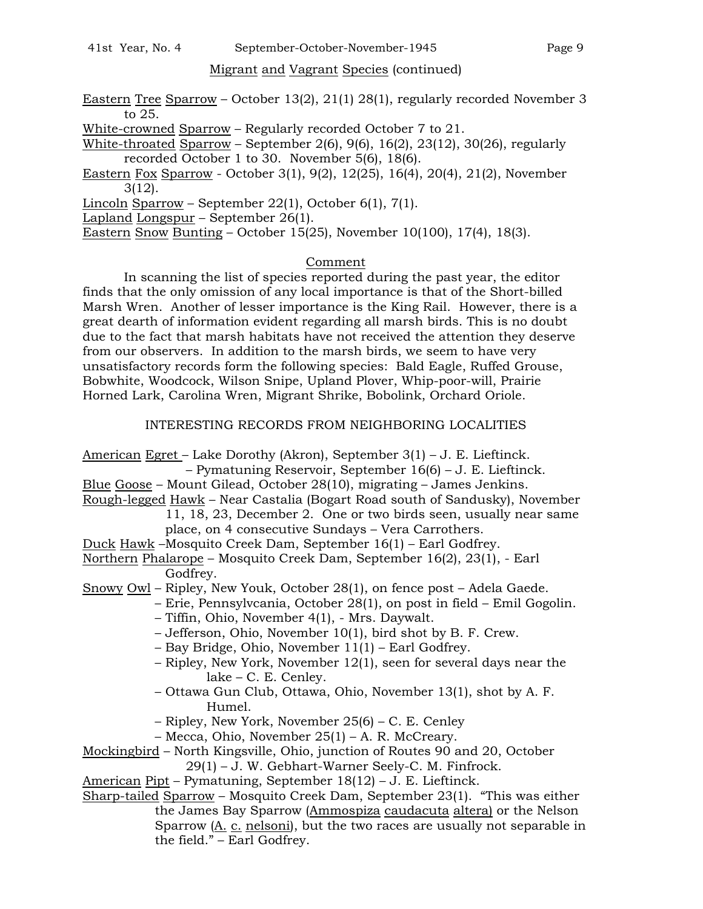## Migrant and Vagrant Species (continued)

- Eastern Tree Sparrow October 13(2), 21(1) 28(1), regularly recorded November 3 to 25.
- White-crowned Sparrow Regularly recorded October 7 to 21.
- White-throated Sparrow September 2(6), 9(6), 16(2), 23(12), 30(26), regularly recorded October 1 to 30. November 5(6), 18(6).
- Eastern Fox Sparrow October 3(1), 9(2), 12(25), 16(4), 20(4), 21(2), November 3(12).
- Lincoln Sparrow September 22(1), October 6(1), 7(1).
- Lapland Longspur September 26(1).

Eastern Snow Bunting – October 15(25), November 10(100), 17(4), 18(3).

## Comment

In scanning the list of species reported during the past year, the editor finds that the only omission of any local importance is that of the Short-billed Marsh Wren. Another of lesser importance is the King Rail. However, there is a great dearth of information evident regarding all marsh birds. This is no doubt due to the fact that marsh habitats have not received the attention they deserve from our observers. In addition to the marsh birds, we seem to have very unsatisfactory records form the following species: Bald Eagle, Ruffed Grouse, Bobwhite, Woodcock, Wilson Snipe, Upland Plover, Whip-poor-will, Prairie Horned Lark, Carolina Wren, Migrant Shrike, Bobolink, Orchard Oriole.

## INTERESTING RECORDS FROM NEIGHBORING LOCALITIES

American Egret – Lake Dorothy (Akron), September 3(1) – J. E. Lieftinck.

- Pymatuning Reservoir, September 16(6) J. E. Lieftinck.
- Blue Goose Mount Gilead, October 28(10), migrating James Jenkins.
- Rough-legged Hawk Near Castalia (Bogart Road south of Sandusky), November
	- 11, 18, 23, December 2. One or two birds seen, usually near same
	- place, on 4 consecutive Sundays Vera Carrothers.
- Duck Hawk –Mosquito Creek Dam, September 16(1) Earl Godfrey.
- Northern Phalarope Mosquito Creek Dam, September 16(2), 23(1), Earl Godfrey.
- Snowy Owl Ripley, New Youk, October 28(1), on fence post Adela Gaede.
	- Erie, Pennsylvcania, October 28(1), on post in field Emil Gogolin.
		- Tiffin, Ohio, November 4(1), Mrs. Daywalt.
		- Jefferson, Ohio, November 10(1), bird shot by B. F. Crew.
		- Bay Bridge, Ohio, November 11(1) Earl Godfrey.
		- Ripley, New York, November 12(1), seen for several days near the lake – C. E. Cenley.
		- Ottawa Gun Club, Ottawa, Ohio, November 13(1), shot by A. F. Humel.
		- Ripley, New York, November 25(6) C. E. Cenley
		- Mecca, Ohio, November 25(1) A. R. McCreary.
- Mockingbird North Kingsville, Ohio, junction of Routes 90 and 20, October
	- 29(1) J. W. Gebhart-Warner Seely-C. M. Finfrock.

American Pipt – Pymatuning, September 18(12) – J. E. Lieftinck.

Sharp-tailed Sparrow – Mosquito Creek Dam, September 23(1). "This was either the James Bay Sparrow (Ammospiza caudacuta altera) or the Nelson Sparrow  $(A_1, C_2, B_1)$ , but the two races are usually not separable in the field." – Earl Godfrey.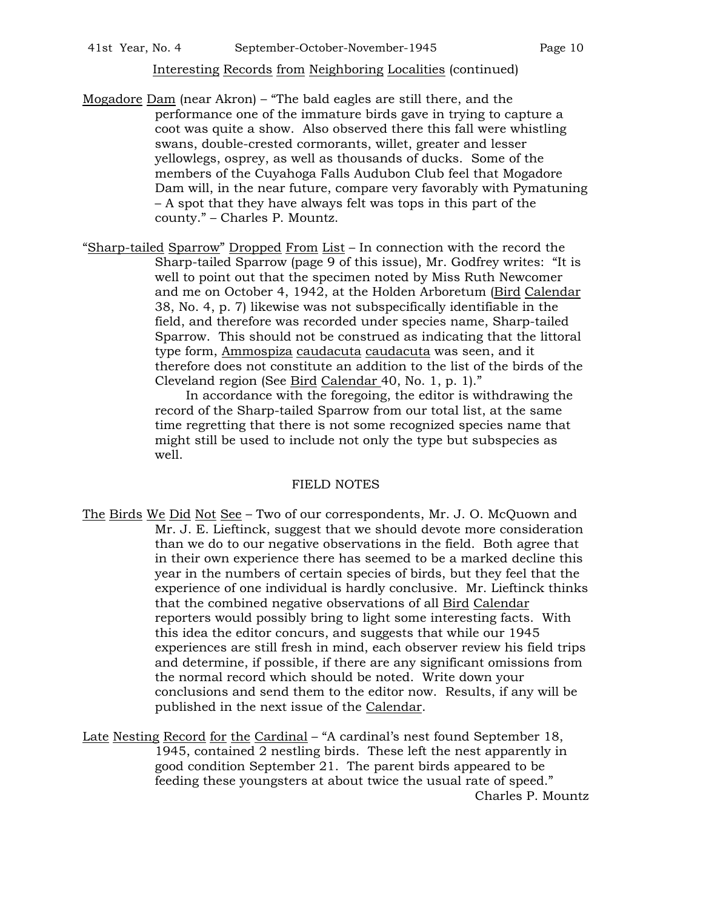county." – Charles P. Mountz.

Mogadore Dam (near Akron) – "The bald eagles are still there, and the performance one of the immature birds gave in trying to capture a coot was quite a show. Also observed there this fall were whistling swans, double-crested cormorants, willet, greater and lesser yellowlegs, osprey, as well as thousands of ducks. Some of the members of the Cuyahoga Falls Audubon Club feel that Mogadore Dam will, in the near future, compare very favorably with Pymatuning – A spot that they have always felt was tops in this part of the

"Sharp-tailed Sparrow" Dropped From List – In connection with the record the Sharp-tailed Sparrow (page 9 of this issue), Mr. Godfrey writes: "It is well to point out that the specimen noted by Miss Ruth Newcomer and me on October 4, 1942, at the Holden Arboretum (Bird Calendar 38, No. 4, p. 7) likewise was not subspecifically identifiable in the field, and therefore was recorded under species name, Sharp-tailed Sparrow. This should not be construed as indicating that the littoral type form, Ammospiza caudacuta caudacuta was seen, and it therefore does not constitute an addition to the list of the birds of the Cleveland region (See Bird Calendar 40, No. 1, p. 1)."

> In accordance with the foregoing, the editor is withdrawing the record of the Sharp-tailed Sparrow from our total list, at the same time regretting that there is not some recognized species name that might still be used to include not only the type but subspecies as well.

#### FIELD NOTES

The Birds We Did Not See – Two of our correspondents, Mr. J. O. McQuown and Mr. J. E. Lieftinck, suggest that we should devote more consideration than we do to our negative observations in the field. Both agree that in their own experience there has seemed to be a marked decline this year in the numbers of certain species of birds, but they feel that the experience of one individual is hardly conclusive. Mr. Lieftinck thinks that the combined negative observations of all Bird Calendar reporters would possibly bring to light some interesting facts. With this idea the editor concurs, and suggests that while our 1945 experiences are still fresh in mind, each observer review his field trips and determine, if possible, if there are any significant omissions from the normal record which should be noted. Write down your conclusions and send them to the editor now. Results, if any will be published in the next issue of the Calendar.

Late Nesting Record for the Cardinal – "A cardinal's nest found September 18, 1945, contained 2 nestling birds. These left the nest apparently in good condition September 21. The parent birds appeared to be feeding these youngsters at about twice the usual rate of speed." Charles P. Mountz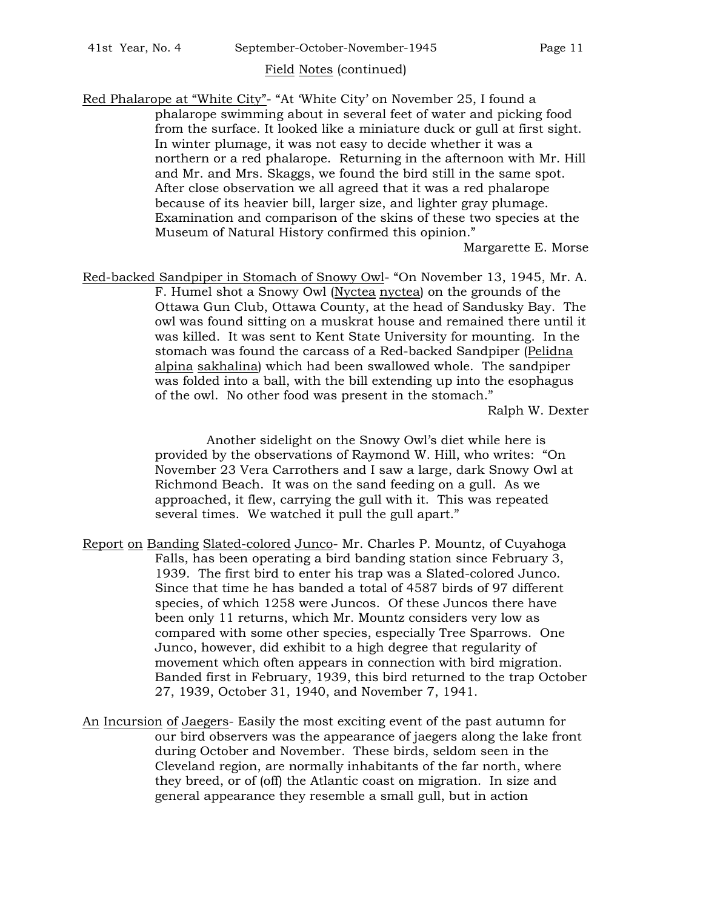## Field Notes (continued)

Red Phalarope at "White City"- "At 'White City' on November 25, I found a phalarope swimming about in several feet of water and picking food from the surface. It looked like a miniature duck or gull at first sight. In winter plumage, it was not easy to decide whether it was a northern or a red phalarope. Returning in the afternoon with Mr. Hill and Mr. and Mrs. Skaggs, we found the bird still in the same spot. After close observation we all agreed that it was a red phalarope because of its heavier bill, larger size, and lighter gray plumage. Examination and comparison of the skins of these two species at the Museum of Natural History confirmed this opinion."

Margarette E. Morse

Red-backed Sandpiper in Stomach of Snowy Owl- "On November 13, 1945, Mr. A. F. Humel shot a Snowy Owl (Nyctea nyctea) on the grounds of the Ottawa Gun Club, Ottawa County, at the head of Sandusky Bay. The owl was found sitting on a muskrat house and remained there until it was killed. It was sent to Kent State University for mounting. In the stomach was found the carcass of a Red-backed Sandpiper (Pelidna alpina sakhalina) which had been swallowed whole. The sandpiper was folded into a ball, with the bill extending up into the esophagus of the owl. No other food was present in the stomach." Ralph W. Dexter

> Another sidelight on the Snowy Owl's diet while here is provided by the observations of Raymond W. Hill, who writes: "On November 23 Vera Carrothers and I saw a large, dark Snowy Owl at Richmond Beach. It was on the sand feeding on a gull. As we approached, it flew, carrying the gull with it. This was repeated several times. We watched it pull the gull apart."

Report on Banding Slated-colored Junco- Mr. Charles P. Mountz, of Cuyahoga Falls, has been operating a bird banding station since February 3, 1939. The first bird to enter his trap was a Slated-colored Junco. Since that time he has banded a total of 4587 birds of 97 different species, of which 1258 were Juncos. Of these Juncos there have been only 11 returns, which Mr. Mountz considers very low as compared with some other species, especially Tree Sparrows. One Junco, however, did exhibit to a high degree that regularity of movement which often appears in connection with bird migration. Banded first in February, 1939, this bird returned to the trap October 27, 1939, October 31, 1940, and November 7, 1941.

An Incursion of Jaegers- Easily the most exciting event of the past autumn for our bird observers was the appearance of jaegers along the lake front during October and November. These birds, seldom seen in the Cleveland region, are normally inhabitants of the far north, where they breed, or of (off) the Atlantic coast on migration. In size and general appearance they resemble a small gull, but in action